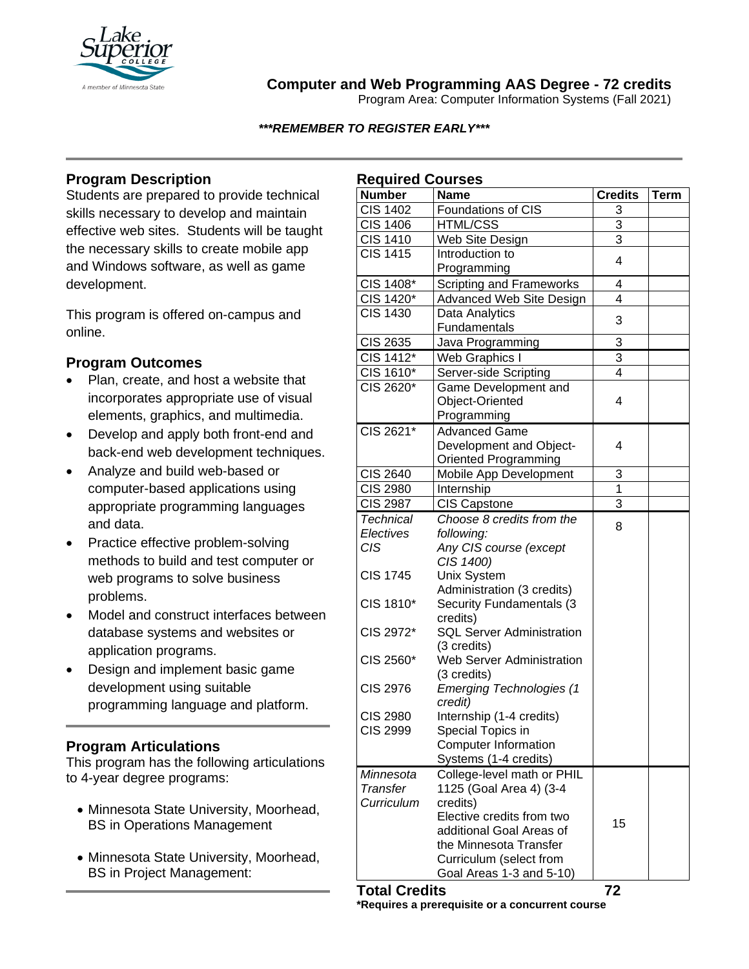

## **Computer and Web Programming AAS Degree - 72 credits**

Program Area: Computer Information Systems (Fall 2021)

*\*\*\*REMEMBER TO REGISTER EARLY\*\*\**

# **Program Description**

Students are prepared to provide technical skills necessary to develop and maintain effective web sites. Students will be taught the necessary skills to create mobile app and Windows software, as well as game development.

This program is offered on-campus and online.

### **Program Outcomes**

- Plan, create, and host a website that incorporates appropriate use of visual elements, graphics, and multimedia.
- Develop and apply both front-end and back-end web development techniques.
- Analyze and build web-based or computer-based applications using appropriate programming languages and data.
- Practice effective problem-solving methods to build and test computer or web programs to solve business problems.
- Model and construct interfaces between database systems and websites or application programs.
- Design and implement basic game development using suitable programming language and platform.

### **Program Articulations**

This program has the following articulations to 4-year degree programs:

- Minnesota State University, Moorhead, BS in Operations Management
- Minnesota State University, Moorhead, BS in Project Management:

| <b>Required Courses</b>      |                                     |                |      |
|------------------------------|-------------------------------------|----------------|------|
| <b>Number</b>                | <b>Name</b>                         | <b>Credits</b> | Term |
| <b>CIS 1402</b>              | Foundations of CIS                  | 3              |      |
| <b>CIS 1406</b>              | <b>HTML/CSS</b>                     | $\overline{3}$ |      |
| <b>CIS 1410</b>              | Web Site Design                     | $\overline{3}$ |      |
| <b>CIS 1415</b>              | Introduction to                     | 4              |      |
|                              | Programming                         |                |      |
| CIS 1408*                    | <b>Scripting and Frameworks</b>     | 4              |      |
| CIS 1420*                    | Advanced Web Site Design            | 4              |      |
| <b>CIS 1430</b>              | Data Analytics                      | 3              |      |
|                              | Fundamentals                        |                |      |
| CIS 2635                     | Java Programming                    | 3              |      |
| CIS 1412*                    | Web Graphics I                      | 3              |      |
| CIS 1610*                    | Server-side Scripting               | 4              |      |
| CIS 2620*                    | Game Development and                |                |      |
|                              | Object-Oriented                     | 4              |      |
|                              | Programming                         |                |      |
| CIS 2621*                    | <b>Advanced Game</b>                |                |      |
|                              | Development and Object-             | 4              |      |
|                              | <b>Oriented Programming</b>         |                |      |
| <b>CIS 2640</b>              | Mobile App Development              | 3              |      |
| <b>CIS 2980</b>              | Internship                          | $\overline{1}$ |      |
| <b>CIS 2987</b>              | <b>CIS Capstone</b>                 | $\overline{3}$ |      |
| Technical                    | Choose 8 credits from the           | 8              |      |
| Electives                    | following:                          |                |      |
| <b>CIS</b>                   | Any CIS course (except              |                |      |
| <b>CIS 1745</b>              | CIS 1400)<br>Unix System            |                |      |
|                              | Administration (3 credits)          |                |      |
| CIS 1810*                    | Security Fundamentals (3            |                |      |
|                              | credits)                            |                |      |
| CIS 2972*                    | <b>SQL Server Administration</b>    |                |      |
|                              | (3 credits)                         |                |      |
| CIS 2560*                    | <b>Web Server Administration</b>    |                |      |
|                              | (3 credits)                         |                |      |
| <b>CIS 2976</b>              | <b>Emerging Technologies (1</b>     |                |      |
|                              | credit)                             |                |      |
| <b>CIS 2980</b>              | Internship (1-4 credits)            |                |      |
| <b>CIS 2999</b>              | Special Topics in                   |                |      |
|                              | Computer Information                |                |      |
|                              | Systems (1-4 credits)               |                |      |
| Minnesota<br><b>Transfer</b> | College-level math or PHIL          |                |      |
| Curriculum                   | 1125 (Goal Area 4) (3-4<br>credits) |                |      |
|                              | Elective credits from two           |                |      |
|                              | additional Goal Areas of            | 15             |      |
|                              | the Minnesota Transfer              |                |      |
|                              | Curriculum (select from             |                |      |
|                              | Goal Areas 1-3 and 5-10)            |                |      |
|                              |                                     |                |      |

**Total Credits 72 \*Requires a prerequisite or a concurrent course**